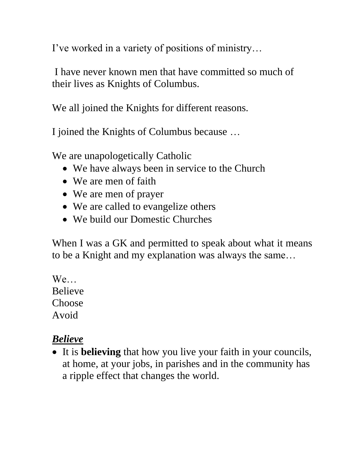I've worked in a variety of positions of ministry…

I have never known men that have committed so much of their lives as Knights of Columbus.

We all joined the Knights for different reasons.

I joined the Knights of Columbus because …

We are unapologetically Catholic

- We have always been in service to the Church
- We are men of faith
- We are men of prayer
- We are called to evangelize others
- We build our Domestic Churches

When I was a GK and permitted to speak about what it means to be a Knight and my explanation was always the same…

We… Believe Choose Avoid

#### *Believe*

• It is **believing** that how you live your faith in your councils, at home, at your jobs, in parishes and in the community has a ripple effect that changes the world.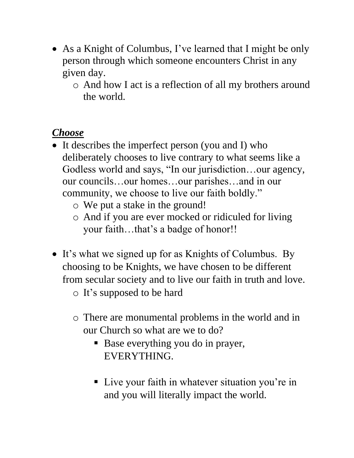- As a Knight of Columbus, I've learned that I might be only person through which someone encounters Christ in any given day.
	- o And how I act is a reflection of all my brothers around the world.

# *Choose*

- It describes the imperfect person (you and I) who deliberately chooses to live contrary to what seems like a Godless world and says, "In our jurisdiction…our agency, our councils…our homes…our parishes…and in our community, we choose to live our faith boldly."
	- o We put a stake in the ground!
	- o And if you are ever mocked or ridiculed for living your faith...that's a badge of honor!!
- It's what we signed up for as Knights of Columbus. By choosing to be Knights, we have chosen to be different from secular society and to live our faith in truth and love.
	- o It's supposed to be hard
	- o There are monumental problems in the world and in our Church so what are we to do?
		- Base everything you do in prayer, EVERYTHING.
		- Live your faith in whatever situation you're in and you will literally impact the world.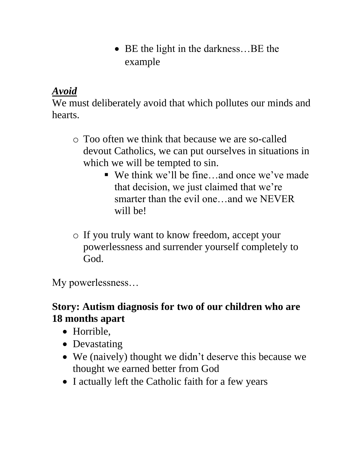• BE the light in the darkness...BE the example

# *Avoid*

We must deliberately avoid that which pollutes our minds and hearts.

- o Too often we think that because we are so-called devout Catholics, we can put ourselves in situations in which we will be tempted to sin.
	- We think we'll be fine...and once we've made that decision, we just claimed that we're smarter than the evil one…and we NEVER will be!
- o If you truly want to know freedom, accept your powerlessness and surrender yourself completely to God.

My powerlessness…

# **Story: Autism diagnosis for two of our children who are 18 months apart**

- Horrible,
- Devastating
- We (naively) thought we didn't deserve this because we thought we earned better from God
- I actually left the Catholic faith for a few years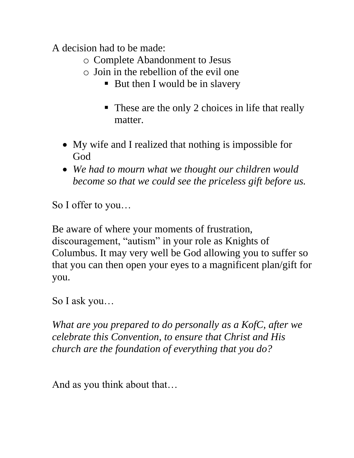A decision had to be made:

- o Complete Abandonment to Jesus
- o Join in the rebellion of the evil one
	- But then I would be in slavery
	- These are the only 2 choices in life that really matter.
- My wife and I realized that nothing is impossible for God
- *We had to mourn what we thought our children would become so that we could see the priceless gift before us.*

So I offer to you…

Be aware of where your moments of frustration, discouragement, "autism" in your role as Knights of Columbus. It may very well be God allowing you to suffer so that you can then open your eyes to a magnificent plan/gift for you.

So I ask you…

*What are you prepared to do personally as a KofC, after we celebrate this Convention, to ensure that Christ and His church are the foundation of everything that you do?*

And as you think about that…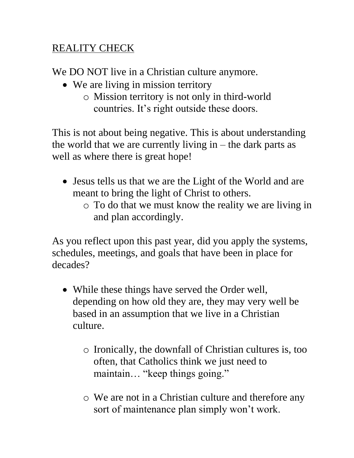# REALITY CHECK

We DO NOT live in a Christian culture anymore.

- We are living in mission territory
	- o Mission territory is not only in third-world countries. It's right outside these doors.

This is not about being negative. This is about understanding the world that we are currently living in  $-$  the dark parts as well as where there is great hope!

- Jesus tells us that we are the Light of the World and are meant to bring the light of Christ to others.
	- o To do that we must know the reality we are living in and plan accordingly.

As you reflect upon this past year, did you apply the systems, schedules, meetings, and goals that have been in place for decades?

- While these things have served the Order well, depending on how old they are, they may very well be based in an assumption that we live in a Christian culture.
	- o Ironically, the downfall of Christian cultures is, too often, that Catholics think we just need to maintain… "keep things going."
	- o We are not in a Christian culture and therefore any sort of maintenance plan simply won't work.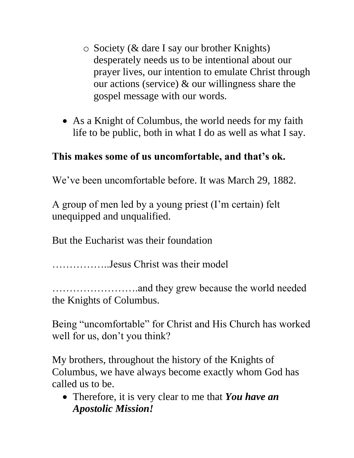- o Society (& dare I say our brother Knights) desperately needs us to be intentional about our prayer lives, our intention to emulate Christ through our actions (service) & our willingness share the gospel message with our words.
- As a Knight of Columbus, the world needs for my faith life to be public, both in what I do as well as what I say.

# **This makes some of us uncomfortable, and that's ok.**

We've been uncomfortable before. It was March 29, 1882.

A group of men led by a young priest (I'm certain) felt unequipped and unqualified.

But the Eucharist was their foundation

……………..Jesus Christ was their model

…………………….and they grew because the world needed the Knights of Columbus.

Being "uncomfortable" for Christ and His Church has worked well for us, don't you think?

My brothers, throughout the history of the Knights of Columbus, we have always become exactly whom God has called us to be.

• Therefore, it is very clear to me that *You have an Apostolic Mission!*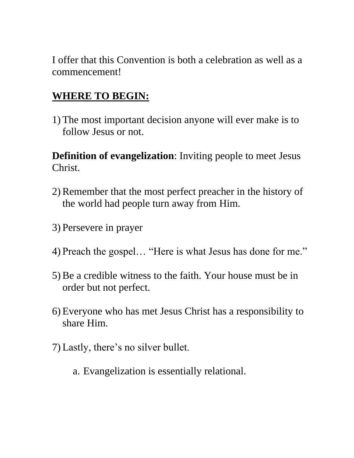I offer that this Convention is both a celebration as well as a commencement!

### **WHERE TO BEGIN:**

1) The most important decision anyone will ever make is to follow Jesus or not.

**Definition of evangelization**: Inviting people to meet Jesus Christ.

- 2) Remember that the most perfect preacher in the history of the world had people turn away from Him.
- 3) Persevere in prayer
- 4) Preach the gospel… "Here is what Jesus has done for me."
- 5) Be a credible witness to the faith. Your house must be in order but not perfect.
- 6) Everyone who has met Jesus Christ has a responsibility to share Him.
- 7) Lastly, there's no silver bullet.
	- a. Evangelization is essentially relational.